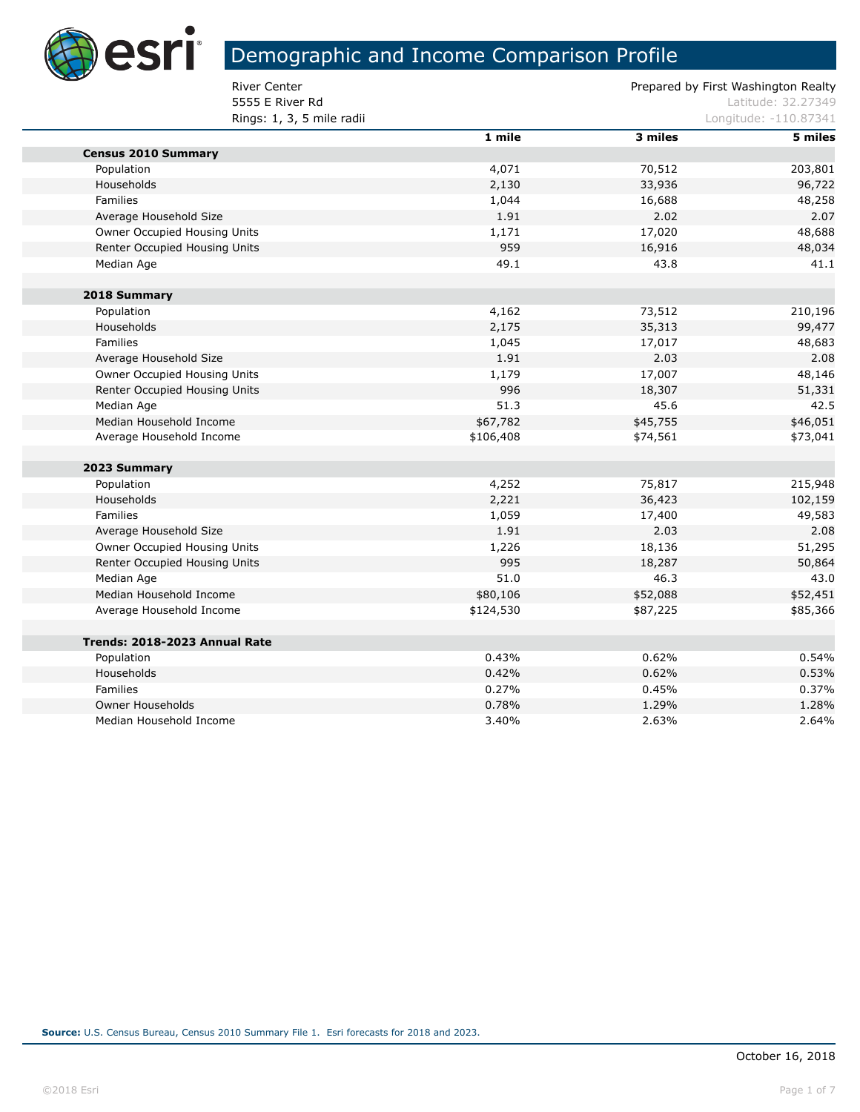

F

г

П

# Demographic and Income Comparison Profile

**5555 E River Rd Latitude: 32.27349 Rings: 1, 3, 5 mile radii** Longitude: -110.87341

|                               | 1 mile    | 3 miles  | 5 miles  |
|-------------------------------|-----------|----------|----------|
| <b>Census 2010 Summary</b>    |           |          |          |
| Population                    | 4,071     | 70,512   | 203,801  |
| Households                    | 2,130     | 33,936   | 96,722   |
| Families                      | 1,044     | 16,688   | 48,258   |
| Average Household Size        | 1.91      | 2.02     | 2.07     |
| Owner Occupied Housing Units  | 1,171     | 17,020   | 48,688   |
| Renter Occupied Housing Units | 959       | 16,916   | 48,034   |
| Median Age                    | 49.1      | 43.8     | 41.1     |
| 2018 Summary                  |           |          |          |
| Population                    | 4,162     | 73,512   | 210,196  |
| Households                    | 2,175     | 35,313   | 99,477   |
| <b>Families</b>               | 1,045     | 17,017   | 48,683   |
| Average Household Size        | 1.91      | 2.03     | 2.08     |
| Owner Occupied Housing Units  | 1,179     | 17,007   | 48,146   |
| Renter Occupied Housing Units | 996       | 18,307   | 51,331   |
| Median Age                    | 51.3      | 45.6     | 42.5     |
| Median Household Income       | \$67,782  | \$45,755 | \$46,051 |
| Average Household Income      | \$106,408 | \$74,561 | \$73,041 |
| 2023 Summary                  |           |          |          |
| Population                    | 4,252     | 75,817   | 215,948  |
| Households                    | 2,221     | 36,423   | 102,159  |
| <b>Families</b>               | 1,059     | 17,400   | 49,583   |
| Average Household Size        | 1.91      | 2.03     | 2.08     |
| Owner Occupied Housing Units  | 1,226     | 18,136   | 51,295   |
| Renter Occupied Housing Units | 995       | 18,287   | 50,864   |
| Median Age                    | 51.0      | 46.3     | 43.0     |
| Median Household Income       | \$80,106  | \$52,088 | \$52,451 |
| Average Household Income      | \$124,530 | \$87,225 | \$85,366 |
| Trends: 2018-2023 Annual Rate |           |          |          |
| Population                    | 0.43%     | 0.62%    | 0.54%    |
| Households                    | 0.42%     | 0.62%    | 0.53%    |
| Families                      | 0.27%     | 0.45%    | 0.37%    |
| Owner Households              | 0.78%     | 1.29%    | 1.28%    |
| Median Household Income       | 3.40%     | 2.63%    | 2.64%    |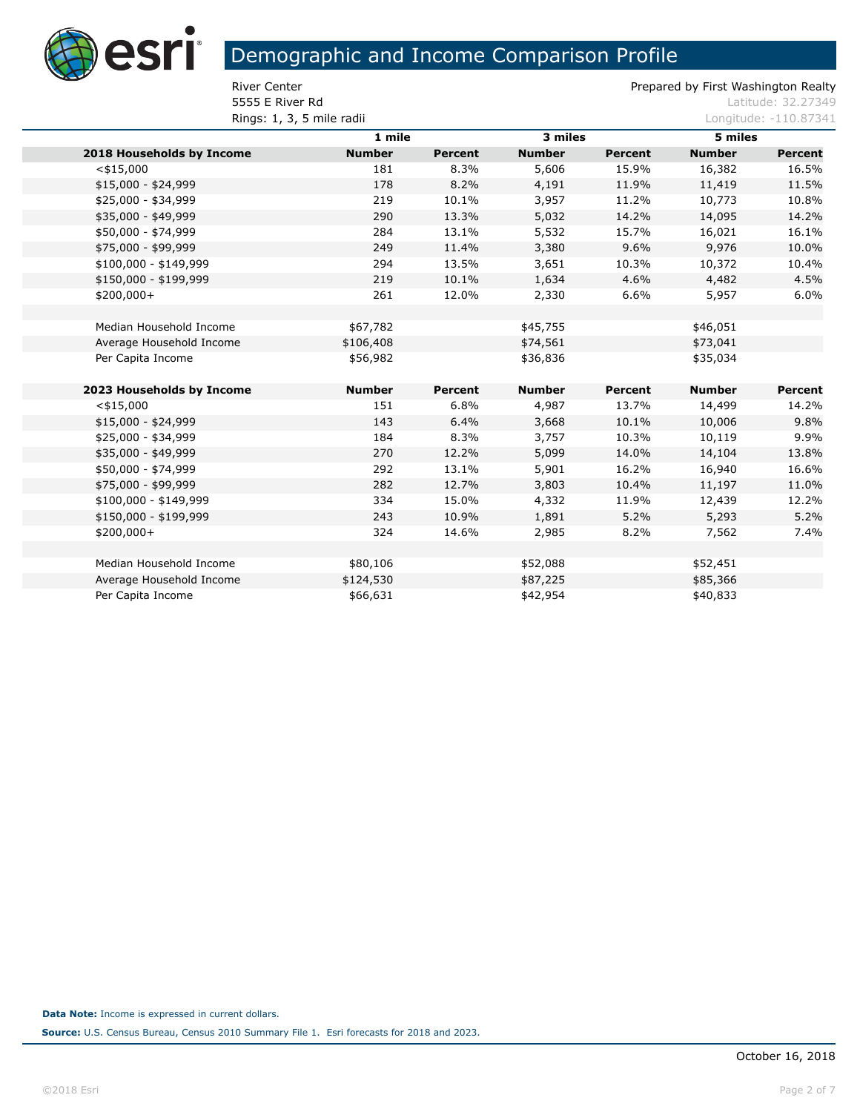

**5555 E River Rd Latitude: 32.27349 Rings: 1, 3, 5 mile radii** Longitude: -110.87341

|                           | 1 mile        |                | 3 miles       |                | 5 miles       |                |
|---------------------------|---------------|----------------|---------------|----------------|---------------|----------------|
| 2018 Households by Income | <b>Number</b> | <b>Percent</b> | <b>Number</b> | <b>Percent</b> | <b>Number</b> | <b>Percent</b> |
| $<$ \$15,000              | 181           | 8.3%           | 5,606         | 15.9%          | 16,382        | 16.5%          |
| \$15,000 - \$24,999       | 178           | 8.2%           | 4,191         | 11.9%          | 11,419        | 11.5%          |
| \$25,000 - \$34,999       | 219           | 10.1%          | 3,957         | 11.2%          | 10,773        | 10.8%          |
| \$35,000 - \$49,999       | 290           | 13.3%          | 5,032         | 14.2%          | 14,095        | 14.2%          |
| \$50,000 - \$74,999       | 284           | 13.1%          | 5,532         | 15.7%          | 16,021        | 16.1%          |
| \$75,000 - \$99,999       | 249           | 11.4%          | 3,380         | 9.6%           | 9,976         | 10.0%          |
| \$100,000 - \$149,999     | 294           | 13.5%          | 3,651         | 10.3%          | 10,372        | 10.4%          |
| \$150,000 - \$199,999     | 219           | 10.1%          | 1,634         | 4.6%           | 4,482         | 4.5%           |
| $$200,000+$               | 261           | 12.0%          | 2,330         | 6.6%           | 5,957         | 6.0%           |
|                           |               |                |               |                |               |                |
| Median Household Income   | \$67,782      |                | \$45,755      |                | \$46,051      |                |
| Average Household Income  | \$106,408     |                | \$74,561      |                | \$73,041      |                |
| Per Capita Income         | \$56,982      |                | \$36,836      |                | \$35,034      |                |
|                           |               |                |               |                |               |                |
| 2023 Households by Income | <b>Number</b> | Percent        | <b>Number</b> | <b>Percent</b> | <b>Number</b> | Percent        |
| $<$ \$15,000              | 151           | 6.8%           | 4,987         | 13.7%          | 14,499        | 14.2%          |
| $$15,000 - $24,999$       | 143           | 6.4%           | 3,668         | 10.1%          | 10,006        | 9.8%           |
| \$25,000 - \$34,999       | 184           | 8.3%           | 3,757         | 10.3%          | 10,119        | 9.9%           |
| \$35,000 - \$49,999       | 270           | 12.2%          | 5,099         | 14.0%          | 14,104        | 13.8%          |
| \$50,000 - \$74,999       | 292           | 13.1%          | 5,901         | 16.2%          | 16,940        | 16.6%          |
| \$75,000 - \$99,999       | 282           | 12.7%          | 3,803         | 10.4%          | 11,197        | 11.0%          |
| \$100,000 - \$149,999     | 334           | 15.0%          | 4,332         | 11.9%          | 12,439        | 12.2%          |
| \$150,000 - \$199,999     | 243           | 10.9%          | 1,891         | 5.2%           | 5,293         | 5.2%           |
| $$200,000+$               | 324           | 14.6%          | 2,985         | 8.2%           | 7,562         | 7.4%           |
|                           |               |                |               |                |               |                |
| Median Household Income   | \$80,106      |                | \$52,088      |                | \$52,451      |                |
| Average Household Income  | \$124,530     |                | \$87,225      |                | \$85,366      |                |
| Per Capita Income         | \$66,631      |                | \$42,954      |                | \$40,833      |                |
|                           |               |                |               |                |               |                |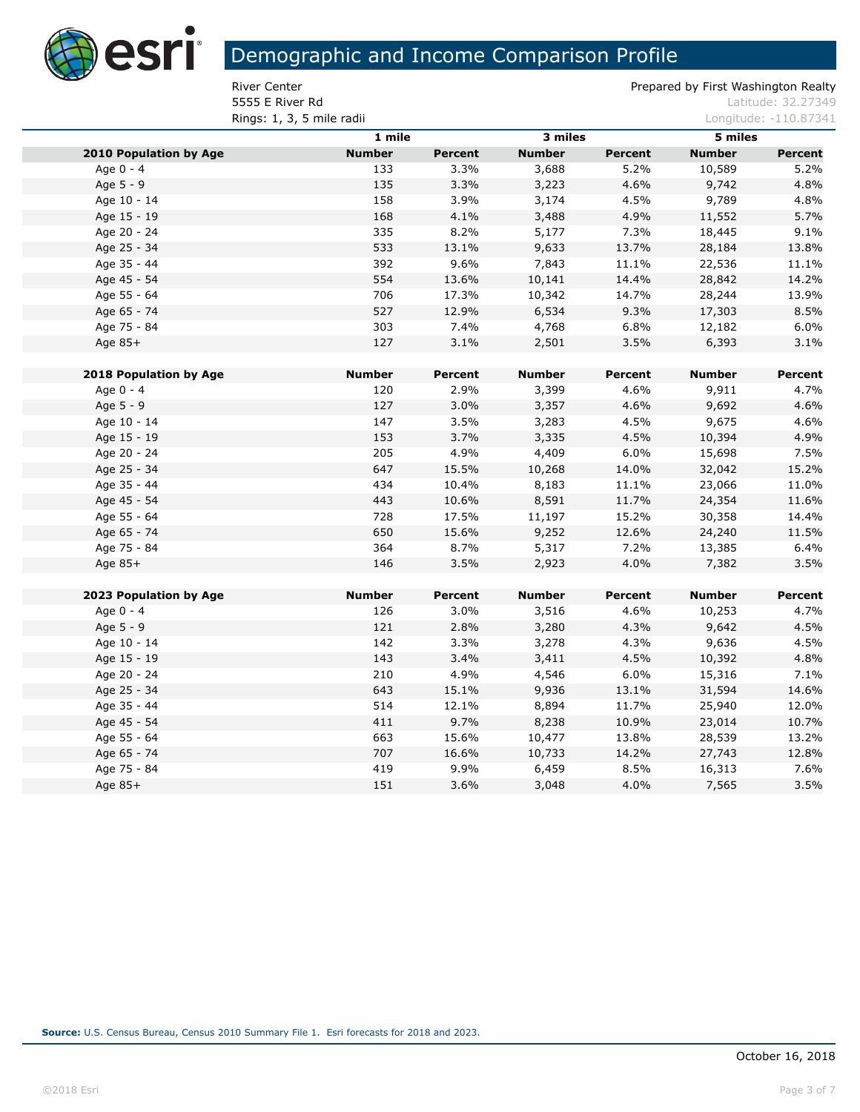

**5555 E River Rd Latitude: 32.27349 Rings: 1, 3, 5 mile radii** Longitude: -110.87341

|                               | 1 mile        |                | 3 miles       |                | 5 miles       |                |
|-------------------------------|---------------|----------------|---------------|----------------|---------------|----------------|
| <b>2010 Population by Age</b> | <b>Number</b> | <b>Percent</b> | <b>Number</b> | Percent        | <b>Number</b> | Percent        |
| Age 0 - 4                     | 133           | 3.3%           | 3,688         | 5.2%           | 10,589        | 5.2%           |
| Age 5 - 9                     | 135           | 3.3%           | 3,223         | 4.6%           | 9,742         | 4.8%           |
| Age 10 - 14                   | 158           | 3.9%           | 3,174         | 4.5%           | 9,789         | 4.8%           |
| Age 15 - 19                   | 168           | 4.1%           | 3,488         | 4.9%           | 11,552        | 5.7%           |
| Age 20 - 24                   | 335           | 8.2%           | 5,177         | 7.3%           | 18,445        | 9.1%           |
| Age 25 - 34                   | 533           | 13.1%          | 9,633         | 13.7%          | 28,184        | 13.8%          |
| Age 35 - 44                   | 392           | 9.6%           | 7,843         | 11.1%          | 22,536        | 11.1%          |
| Age 45 - 54                   | 554           | 13.6%          | 10,141        | 14.4%          | 28,842        | 14.2%          |
| Age 55 - 64                   | 706           | 17.3%          | 10,342        | 14.7%          | 28,244        | 13.9%          |
| Age 65 - 74                   | 527           | 12.9%          | 6,534         | 9.3%           | 17,303        | 8.5%           |
| Age 75 - 84                   | 303           | 7.4%           | 4,768         | 6.8%           | 12,182        | 6.0%           |
| Age 85+                       | 127           | 3.1%           | 2,501         | 3.5%           | 6,393         | 3.1%           |
|                               |               |                |               |                |               |                |
| 2018 Population by Age        | <b>Number</b> | Percent        | <b>Number</b> | Percent        | <b>Number</b> | Percent        |
| Age 0 - 4                     | 120           | 2.9%           | 3,399         | 4.6%           | 9,911         | 4.7%           |
| Age 5 - 9                     | 127           | 3.0%           | 3,357         | 4.6%           | 9,692         | 4.6%           |
| Age 10 - 14                   | 147           | 3.5%           | 3,283         | 4.5%           | 9,675         | 4.6%           |
| Age 15 - 19                   | 153           | 3.7%           | 3,335         | 4.5%           | 10,394        | 4.9%           |
| Age 20 - 24                   | 205           | 4.9%           | 4,409         | 6.0%           | 15,698        | 7.5%           |
| Age 25 - 34                   | 647           | 15.5%          | 10,268        | 14.0%          | 32,042        | 15.2%          |
| Age 35 - 44                   | 434           | 10.4%          | 8,183         | 11.1%          | 23,066        | 11.0%          |
| Age 45 - 54                   | 443           | 10.6%          | 8,591         | 11.7%          | 24,354        | 11.6%          |
| Age 55 - 64                   | 728           | 17.5%          | 11,197        | 15.2%          | 30,358        | 14.4%          |
| Age 65 - 74                   | 650           | 15.6%          | 9,252         | 12.6%          | 24,240        | 11.5%          |
| Age 75 - 84                   | 364           | 8.7%           | 5,317         | 7.2%           | 13,385        | 6.4%           |
| Age 85+                       | 146           | 3.5%           | 2,923         | 4.0%           | 7,382         | 3.5%           |
|                               |               |                |               |                |               |                |
| 2023 Population by Age        | <b>Number</b> | <b>Percent</b> | <b>Number</b> | <b>Percent</b> | <b>Number</b> | <b>Percent</b> |
| Age 0 - 4                     | 126           | 3.0%           | 3,516         | 4.6%           | 10,253        | 4.7%           |
| Age 5 - 9                     | 121           | 2.8%           | 3,280         | 4.3%           | 9,642         | 4.5%           |
| Age 10 - 14                   | 142           | 3.3%           | 3,278         | 4.3%           | 9,636         | 4.5%           |
| Age 15 - 19                   | 143           | 3.4%           | 3,411         | 4.5%           | 10,392        | 4.8%           |
| Age 20 - 24                   | 210           | 4.9%           | 4,546         | 6.0%           | 15,316        | 7.1%           |
| Age 25 - 34                   | 643           | 15.1%          | 9,936         | 13.1%          | 31,594        | 14.6%          |
| Age 35 - 44                   | 514           | 12.1%          | 8,894         | 11.7%          | 25,940        | 12.0%          |
| Age 45 - 54                   | 411           | 9.7%           | 8,238         | 10.9%          | 23,014        | 10.7%          |
| Age 55 - 64                   | 663           | 15.6%          | 10,477        | 13.8%          | 28,539        | 13.2%          |
| Age 65 - 74                   | 707           | 16.6%          | 10,733        | 14.2%          | 27,743        | 12.8%          |
| Age 75 - 84                   | 419           | 9.9%           | 6,459         | 8.5%           | 16,313        | 7.6%           |
| Age 85+                       | 151           | 3.6%           | 3,048         | 4.0%           | 7,565         | 3.5%           |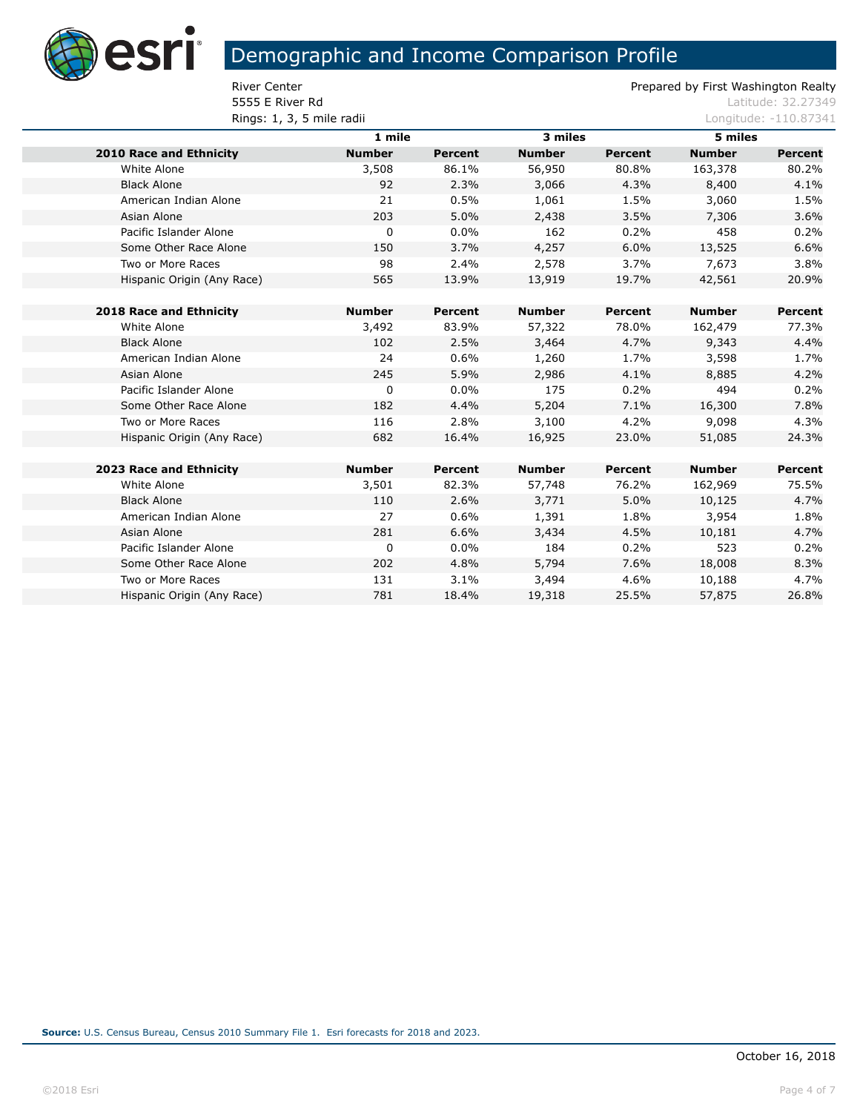

**5555 E River Rd Latitude: 32.27349 Rings: 1, 3, 5 mile radii** Longitude: -110.87341

|                            | 1 mile        |                | 3 miles       |                | 5 miles       |                |  |
|----------------------------|---------------|----------------|---------------|----------------|---------------|----------------|--|
| 2010 Race and Ethnicity    | <b>Number</b> | <b>Percent</b> | <b>Number</b> | <b>Percent</b> | <b>Number</b> | <b>Percent</b> |  |
| White Alone                | 3,508         | 86.1%          | 56,950        | 80.8%          | 163,378       | 80.2%          |  |
| <b>Black Alone</b>         | 92            | 2.3%           | 3,066         | 4.3%           | 8,400         | 4.1%           |  |
| American Indian Alone      | 21            | 0.5%           | 1,061         | 1.5%           | 3,060         | 1.5%           |  |
| Asian Alone                | 203           | 5.0%           | 2,438         | 3.5%           | 7,306         | 3.6%           |  |
| Pacific Islander Alone     | 0             | $0.0\%$        | 162           | 0.2%           | 458           | 0.2%           |  |
| Some Other Race Alone      | 150           | 3.7%           | 4,257         | 6.0%           | 13,525        | 6.6%           |  |
| Two or More Races          | 98            | 2.4%           | 2,578         | 3.7%           | 7,673         | 3.8%           |  |
| Hispanic Origin (Any Race) | 565           | 13.9%          | 13,919        | 19.7%          | 42,561        | 20.9%          |  |
|                            |               |                |               |                |               |                |  |
| 2018 Race and Ethnicity    | <b>Number</b> | Percent        | <b>Number</b> | Percent        | <b>Number</b> | Percent        |  |
| White Alone                | 3,492         | 83.9%          | 57,322        | 78.0%          | 162,479       | 77.3%          |  |
| <b>Black Alone</b>         | 102           | 2.5%           | 3,464         | 4.7%           | 9,343         | 4.4%           |  |
| American Indian Alone      | 24            | 0.6%           | 1,260         | 1.7%           | 3,598         | 1.7%           |  |
| Asian Alone                | 245           | 5.9%           | 2,986         | 4.1%           | 8,885         | 4.2%           |  |
| Pacific Islander Alone     | 0             | $0.0\%$        | 175           | 0.2%           | 494           | 0.2%           |  |
| Some Other Race Alone      | 182           | 4.4%           | 5,204         | 7.1%           | 16,300        | 7.8%           |  |
| Two or More Races          | 116           | 2.8%           | 3,100         | 4.2%           | 9,098         | 4.3%           |  |
| Hispanic Origin (Any Race) | 682           | 16.4%          | 16,925        | 23.0%          | 51,085        | 24.3%          |  |
| 2023 Race and Ethnicity    | <b>Number</b> | Percent        | <b>Number</b> | Percent        | <b>Number</b> | Percent        |  |
|                            |               |                |               |                |               |                |  |
| White Alone                | 3,501         | 82.3%          | 57,748        | 76.2%          | 162,969       | 75.5%          |  |
| <b>Black Alone</b>         | 110           | 2.6%           | 3,771         | 5.0%           | 10,125        | 4.7%           |  |
| American Indian Alone      | 27            | 0.6%           | 1,391         | 1.8%           | 3,954         | 1.8%           |  |
| Asian Alone                | 281           | 6.6%           | 3,434         | 4.5%           | 10,181        | 4.7%           |  |
| Pacific Islander Alone     | 0             | $0.0\%$        | 184           | 0.2%           | 523           | 0.2%           |  |
| Some Other Race Alone      | 202           | 4.8%           | 5,794         | 7.6%           | 18,008        | 8.3%           |  |
| Two or More Races          | 131           | 3.1%           | 3,494         | 4.6%           | 10,188        | 4.7%           |  |
| Hispanic Origin (Any Race) | 781           | 18.4%          | 19,318        | 25.5%          | 57,875        | 26.8%          |  |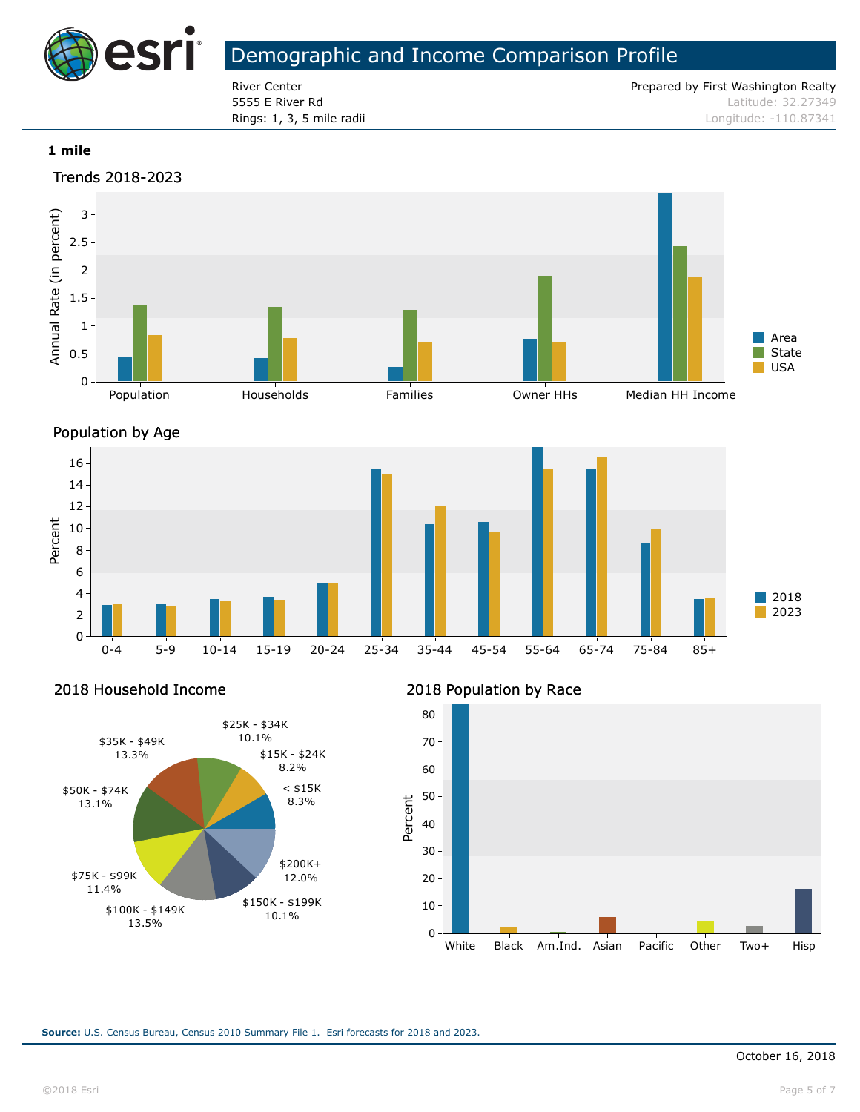

River Center **Prepared by First Washington Realty** Prepared by First Washington Realty 5555 E River Rd Latitude: 32.27349 **Rings: 1, 3, 5 mile radii** Longitude: -110.87341

#### **1 mile**





Percent

2018 Household Income



#### 2018 Population by Race

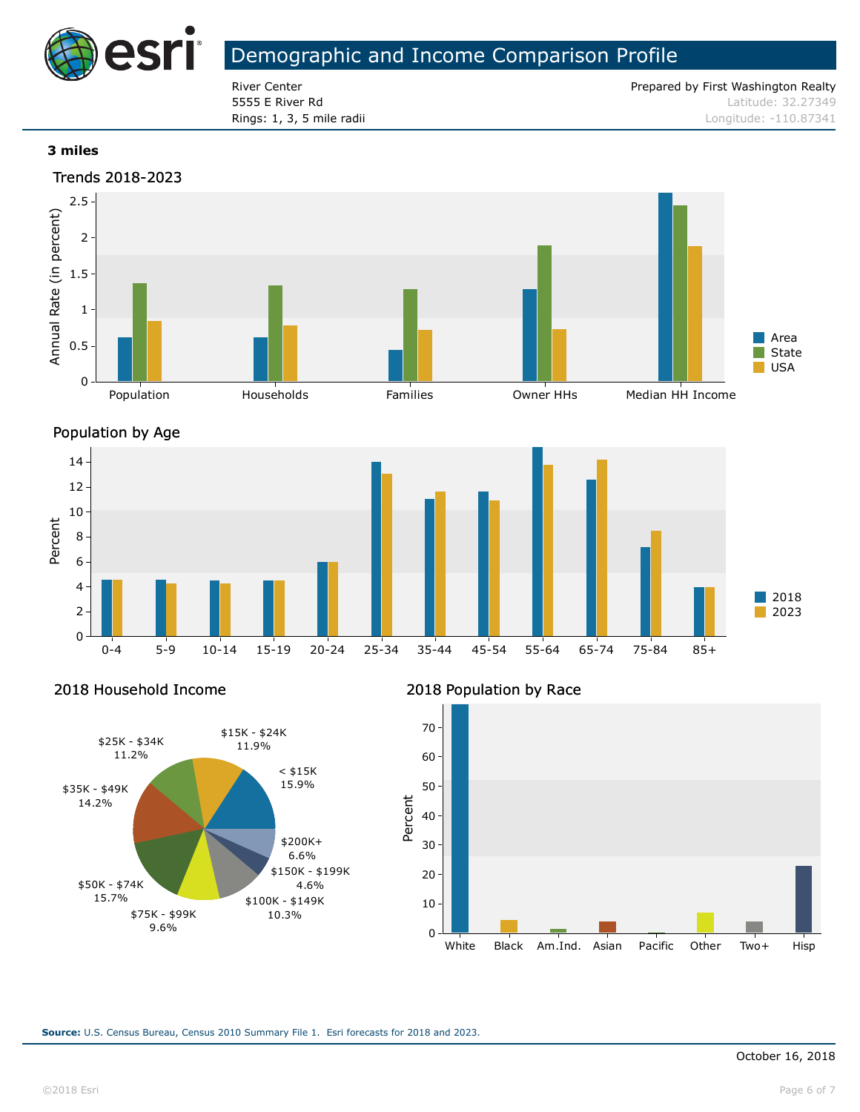

River Center **Prepared by First Washington Realty** Prepared by First Washington Realty 5555 E River Rd Latitude: 32.27349 **Rings: 1, 3, 5 mile radii** Longitude: -110.87341

#### **3 miles**





Percent

2018 Household Income



#### 2018 Population by Race